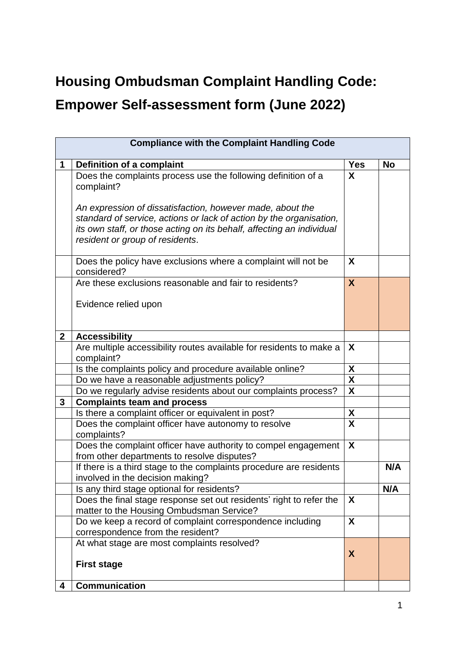## **Housing Ombudsman Complaint Handling Code:**

## **Empower Self-assessment form (June 2022)**

| <b>Compliance with the Complaint Handling Code</b> |                                                                                                                                                                                                                                              |                           |           |  |  |
|----------------------------------------------------|----------------------------------------------------------------------------------------------------------------------------------------------------------------------------------------------------------------------------------------------|---------------------------|-----------|--|--|
| 1                                                  | Definition of a complaint                                                                                                                                                                                                                    | <b>Yes</b>                | <b>No</b> |  |  |
|                                                    | Does the complaints process use the following definition of a<br>complaint?                                                                                                                                                                  | X                         |           |  |  |
|                                                    | An expression of dissatisfaction, however made, about the<br>standard of service, actions or lack of action by the organisation,<br>its own staff, or those acting on its behalf, affecting an individual<br>resident or group of residents. |                           |           |  |  |
|                                                    | Does the policy have exclusions where a complaint will not be<br>considered?                                                                                                                                                                 | X                         |           |  |  |
|                                                    | Are these exclusions reasonable and fair to residents?                                                                                                                                                                                       | X                         |           |  |  |
|                                                    | Evidence relied upon                                                                                                                                                                                                                         |                           |           |  |  |
| $\mathbf{2}$                                       | <b>Accessibility</b>                                                                                                                                                                                                                         |                           |           |  |  |
|                                                    | Are multiple accessibility routes available for residents to make a<br>complaint?                                                                                                                                                            | X                         |           |  |  |
|                                                    | Is the complaints policy and procedure available online?                                                                                                                                                                                     | X                         |           |  |  |
|                                                    | Do we have a reasonable adjustments policy?                                                                                                                                                                                                  | X                         |           |  |  |
|                                                    | Do we regularly advise residents about our complaints process?                                                                                                                                                                               | $\boldsymbol{\mathsf{X}}$ |           |  |  |
| $\mathbf{3}$                                       | <b>Complaints team and process</b>                                                                                                                                                                                                           |                           |           |  |  |
|                                                    | Is there a complaint officer or equivalent in post?                                                                                                                                                                                          | X                         |           |  |  |
|                                                    | Does the complaint officer have autonomy to resolve<br>complaints?                                                                                                                                                                           | $\overline{\mathbf{X}}$   |           |  |  |
|                                                    | Does the complaint officer have authority to compel engagement<br>from other departments to resolve disputes?                                                                                                                                | X                         |           |  |  |
|                                                    | If there is a third stage to the complaints procedure are residents<br>involved in the decision making?                                                                                                                                      |                           | N/A       |  |  |
|                                                    | Is any third stage optional for residents?                                                                                                                                                                                                   |                           | N/A       |  |  |
|                                                    | Does the final stage response set out residents' right to refer the<br>matter to the Housing Ombudsman Service?                                                                                                                              | X                         |           |  |  |
|                                                    | Do we keep a record of complaint correspondence including<br>correspondence from the resident?                                                                                                                                               | X                         |           |  |  |
|                                                    | At what stage are most complaints resolved?                                                                                                                                                                                                  |                           |           |  |  |
|                                                    | <b>First stage</b>                                                                                                                                                                                                                           | X                         |           |  |  |
| 4                                                  | <b>Communication</b>                                                                                                                                                                                                                         |                           |           |  |  |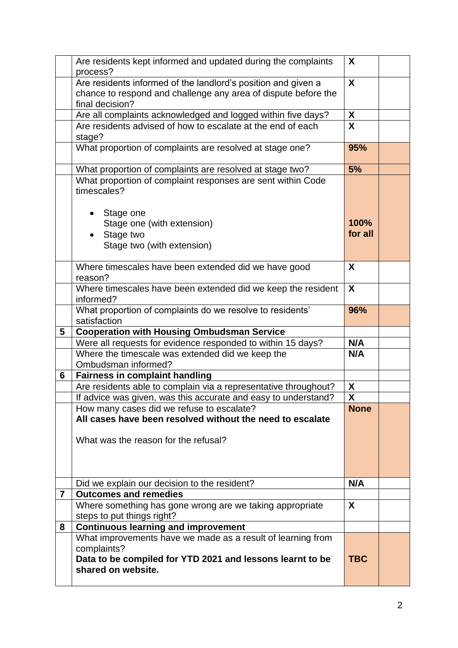|   | Are residents kept informed and updated during the complaints<br>process?                                                                      | X                |  |
|---|------------------------------------------------------------------------------------------------------------------------------------------------|------------------|--|
|   | Are residents informed of the landlord's position and given a                                                                                  | X                |  |
|   | chance to respond and challenge any area of dispute before the                                                                                 |                  |  |
|   | final decision?                                                                                                                                |                  |  |
|   | Are all complaints acknowledged and logged within five days?                                                                                   | X                |  |
|   | Are residents advised of how to escalate at the end of each<br>stage?                                                                          | X                |  |
|   | What proportion of complaints are resolved at stage one?                                                                                       | 95%              |  |
|   | What proportion of complaints are resolved at stage two?                                                                                       | 5%               |  |
|   | What proportion of complaint responses are sent within Code<br>timescales?                                                                     |                  |  |
|   | Stage one<br>Stage one (with extension)<br>Stage two<br>Stage two (with extension)                                                             | 100%<br>for all  |  |
|   | Where timescales have been extended did we have good<br>reason?                                                                                | X                |  |
|   | Where timescales have been extended did we keep the resident<br>informed?                                                                      | $\boldsymbol{X}$ |  |
|   | What proportion of complaints do we resolve to residents'<br>satisfaction                                                                      | 96%              |  |
| 5 | <b>Cooperation with Housing Ombudsman Service</b>                                                                                              |                  |  |
|   | Were all requests for evidence responded to within 15 days?                                                                                    | N/A              |  |
|   | Where the timescale was extended did we keep the<br>Ombudsman informed?                                                                        | N/A              |  |
| 6 | <b>Fairness in complaint handling</b>                                                                                                          |                  |  |
|   | Are residents able to complain via a representative throughout?                                                                                | X                |  |
|   | If advice was given, was this accurate and easy to understand?                                                                                 | X                |  |
|   | How many cases did we refuse to escalate?<br>All cases have been resolved without the need to escalate<br>What was the reason for the refusal? | <b>None</b>      |  |
|   | Did we explain our decision to the resident?                                                                                                   | N/A              |  |
| 7 | <b>Outcomes and remedies</b>                                                                                                                   |                  |  |
|   | Where something has gone wrong are we taking appropriate<br>steps to put things right?                                                         | X                |  |
| 8 | <b>Continuous learning and improvement</b>                                                                                                     |                  |  |
|   | What improvements have we made as a result of learning from<br>complaints?<br>Data to be compiled for YTD 2021 and lessons learnt to be        | <b>TBC</b>       |  |
|   | shared on website.                                                                                                                             |                  |  |